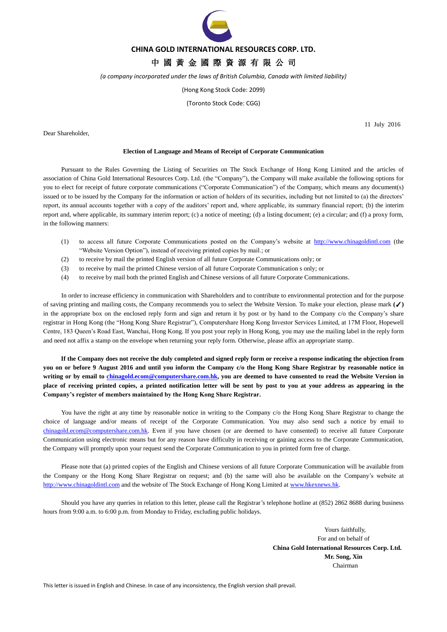

## **CHINA GOLD INTERNATIONAL RESOURCES CORP. LTD.**

## 中 國 黃 金 國 際 資 源 有 限 公 司

*(a company incorporated under the laws of British Columbia, Canada with limited liability)*

(Hong Kong Stock Code: 2099)

(Toronto Stock Code: CGG)

Dear Shareholder,

11 July 2016

## **Election of Language and Means of Receipt of Corporate Communication**

Pursuant to the Rules Governing the Listing of Securities on The Stock Exchange of Hong Kong Limited and the articles of association of China Gold International Resources Corp. Ltd. (the "Company"), the Company will make available the following options for you to elect for receipt of future corporate communications ("Corporate Communication") of the Company, which means any document(s) issued or to be issued by the Company for the information or action of holders of its securities, including but not limited to (a) the directors' report, its annual accounts together with a copy of the auditors' report and, where applicable, its summary financial report; (b) the interim report and, where applicable, its summary interim report; (c) a notice of meeting; (d) a listing document; (e) a circular; and (f) a proxy form, in the following manners:

- (1) to access all future Corporate Communications posted on the Company's website at [http://www.chinagoldintl.com](http://www.chinagoldintl.com/) (the "Website Version Option"), instead of receiving printed copies by mail.; or
- (2) to receive by mail the printed English version of all future Corporate Communications only; or
- (3) to receive by mail the printed Chinese version of all future Corporate Communication s only; or
- (4) to receive by mail both the printed English and Chinese versions of all future Corporate Communications.

In order to increase efficiency in communication with Shareholders and to contribute to environmental protection and for the purpose of saving printing and mailing costs, the Company recommends you to select the Website Version. To make your election, please mark **(**✓**)**  in the appropriate box on the enclosed reply form and sign and return it by post or by hand to the Company c/o the Company's share registrar in Hong Kong (the "Hong Kong Share Registrar"), Computershare Hong Kong Investor Services Limited, at 17M Floor, Hopewell Centre, 183 Queen's Road East, Wanchai, Hong Kong. If you post your reply in Hong Kong, you may use the mailing label in the reply form and need not affix a stamp on the envelope when returning your reply form. Otherwise, please affix an appropriate stamp.

**If the Company does not receive the duly completed and signed reply form or receive a response indicating the objection from you on or before 9 August 2016 and until you inform the Company c/o the Hong Kong Share Registrar by reasonable notice in**  writing or by email to [chinagold.ecom@computershare.com.hk,](mailto:chinagold.ecom@computershare.com.hk) you are deemed to have consented to read the Website Version in **place of receiving printed copies, a printed notification letter will be sent by post to you at your address as appearing in the Company's register of members maintained by the Hong Kong Share Registrar.**

You have the right at any time by reasonable notice in writing to the Company c/o the Hong Kong Share Registrar to change the choice of language and/or means of receipt of the Corporate Communication. You may also send such a notice by email to chinagold.ecom@computershare.com.hk. Even if you have chosen (or are deemed to have consented) to receive all future Corporate Communication using electronic means but for any reason have difficulty in receiving or gaining access to the Corporate Communication, the Company will promptly upon your request send the Corporate Communication to you in printed form free of charge.

Please note that (a) printed copies of the English and Chinese versions of all future Corporate Communication will be available from the Company or the Hong Kong Share Registrar on request; and (b) the same will also be available on the Company's website at [http://www.chinagoldintl.com](http://www.chinagoldintl.com/) and the website of The Stock Exchange of Hong Kong Limited at [www.hkexnews.hk.](http://www.hkexnews.hk/)

Should you have any queries in relation to this letter, please call the Registrar's telephone hotline at (852) 2862 8688 during business hours from 9:00 a.m. to 6:00 p.m. from Monday to Friday, excluding public holidays.

> Yours faithfully, For and on behalf of  **China Gold International Resources Corp. Ltd. Mr. Song, Xin** Chairman

This letter is issued in English and Chinese. In case of any inconsistency, the English version shall prevail.